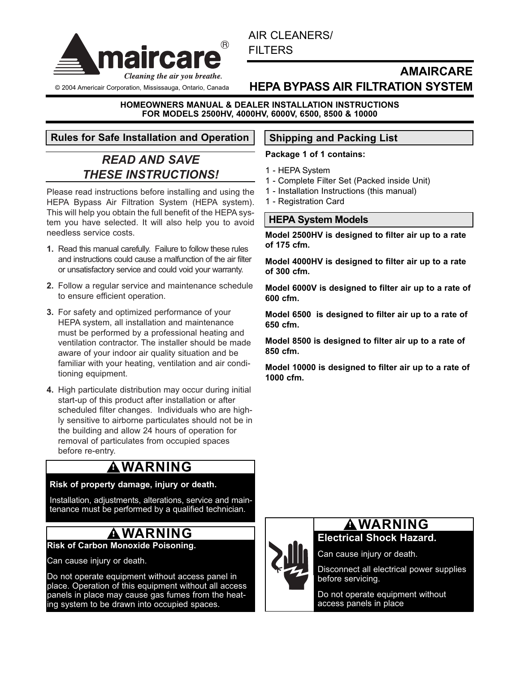

© 2004 Americair Corporation, Mississauga, Ontario, Canada

AIR CLEANERS/ FILTERS

# **AMAIRCARE HEPA BYPASS AIR FILTRATION SYSTEM**

#### **HOMEOWNERS MANUAL & DEALER INSTALLATION INSTRUCTIONS FOR MODELS 2500HV, 4000HV, 6000V, 6500, 8500 & 10000**

# **Rules for Safe Installation and Operation | Shipping and Packing List**

# *READ AND SAVE THESE INSTRUCTIONS!*

Please read instructions before installing and using the HEPA Bypass Air Filtration System (HEPA system). This will help you obtain the full benefit of the HEPA system you have selected. It will also help you to avoid needless service costs.

- **1.** Read this manual carefully. Failure to follow these rules and instructions could cause a malfunction of the air filter or unsatisfactory service and could void your warranty.
- **2.** Follow a regular service and maintenance schedule to ensure efficient operation.
- **3.** For safety and optimized performance of your HEPA system, all installation and maintenance must be performed by a professional heating and ventilation contractor. The installer should be made aware of your indoor air quality situation and be familiar with your heating, ventilation and air conditioning equipment.
- **4.** High particulate distribution may occur during initial start-up of this product after installation or after scheduled filter changes. Individuals who are highly sensitive to airborne particulates should not be in the building and allow 24 hours of operation for removal of particulates from occupied spaces before re-entry.

# **! WARNING**

#### **Risk of property damage, injury or death.**

Installation, adjustments, alterations, service and maintenance must be performed by a qualified technician.

# **! WARNING**

#### **Risk of Carbon Monoxide Poisoning.**

Can cause injury or death.

Do not operate equipment without access panel in place. Operation of this equipment without all access panels in place may cause gas fumes from the heating system to be drawn into occupied spaces.

#### **Package 1 of 1 contains:**

- 1 HEPA System
- 1 Complete Filter Set (Packed inside Unit)
- 1 Installation Instructions (this manual)
- 1 Registration Card

# **HEPA System Models**

**Model 2500HV is designed to filter air up to a rate of 175 cfm.**

**Model 4000HV is designed to filter air up to a rate of 300 cfm.**

**Model 6000V is designed to filter air up to a rate of 600 cfm.**

**Model 6500 is designed to filter air up to a rate of 650 cfm.**

**Model 8500 is designed to filter air up to a rate of 850 cfm.**

**Model 10000 is designed to filter air up to a rate of 1000 cfm.**



# **Electrical Shock Hazard. ! WARNING**

Can cause injury or death.

Disconnect all electrical power supplies before servicing.

Do not operate equipment without access panels in place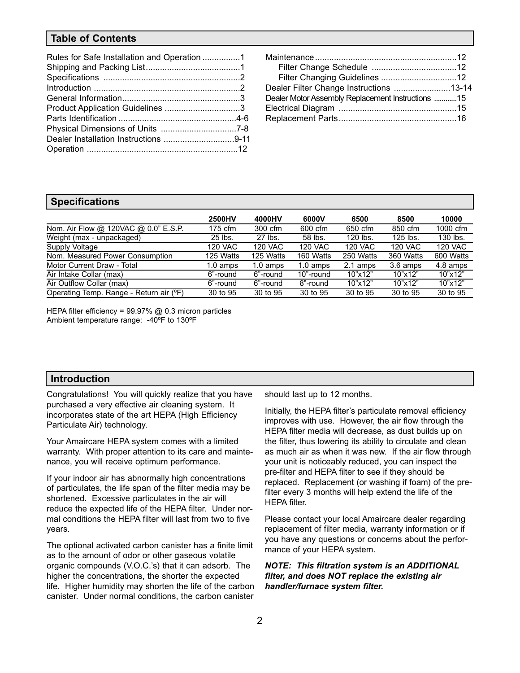#### **Table of Contents**

| Dealer Filter Change Instructions 13-14           |  |
|---------------------------------------------------|--|
| Dealer Motor Assembly Replacement Instructions 15 |  |
|                                                   |  |
|                                                   |  |

#### **Specifications**

|                                         | <b>2500HV</b>      | 4000HV             | 6000V              | 6500           | 8500           | 10000          |
|-----------------------------------------|--------------------|--------------------|--------------------|----------------|----------------|----------------|
| Nom. Air Flow @ 120VAC @ 0.0" E.S.P.    | $175$ cfm          | 300 cfm            | 600 cfm            | 650 cfm        | 850 cfm        | 1000 cfm       |
| Weight (max - unpackaged)               | 25 lbs.            | 27 lbs.            | 58 lbs.            | 120 lbs.       | $125$ lbs.     | 130 lbs.       |
| Supply Voltage                          | 120 VAC            | <b>120 VAC</b>     | <b>120 VAC</b>     | <b>120 VAC</b> | <b>120 VAC</b> | <b>120 VAC</b> |
| Nom. Measured Power Consumption         | 125 Watts          | 125 Watts          | 160 Watts          | 250 Watts      | 360 Watts      | 600 Watts      |
| Motor Current Draw - Total              | $1.0 \text{ amps}$ | $1.0 \text{ amps}$ | $1.0 \text{ amps}$ | 2.1 amps       | 3.6 amps       | 4.8 amps       |
| Air Intake Collar (max)                 | 6"-round           | 6"-round           | 10"-round          | 10"x12"        | 10"x12"        | 10"x12"        |
| Air Outflow Collar (max)                | 6"-round           | 6"-round           | 8"-round           | 10"x12"        | 10"x12"        | 10"x12"        |
| Operating Temp. Range - Return air (°F) | 30 to 95           | 30 to 95           | 30 to 95           | 30 to 95       | 30 to 95       | 30 to 95       |

HEPA filter efficiency =  $99.97\%$  @ 0.3 micron particles Ambient temperature range: -40ºF to 130ºF

#### **Introduction**

Congratulations! You will quickly realize that you have purchased a very effective air cleaning system. It incorporates state of the art HEPA (High Efficiency Particulate Air) technology.

Your Amaircare HEPA system comes with a limited warranty. With proper attention to its care and maintenance, you will receive optimum performance.

If your indoor air has abnormally high concentrations of particulates, the life span of the filter media may be shortened. Excessive particulates in the air will reduce the expected life of the HEPA filter. Under normal conditions the HEPA filter will last from two to five years.

The optional activated carbon canister has a finite limit as to the amount of odor or other gaseous volatile organic compounds (V.O.C.'s) that it can adsorb. The higher the concentrations, the shorter the expected life. Higher humidity may shorten the life of the carbon canister. Under normal conditions, the carbon canister

should last up to 12 months.

Initially, the HEPA filter's particulate removal efficiency improves with use. However, the air flow through the HEPA filter media will decrease, as dust builds up on the filter, thus lowering its ability to circulate and clean as much air as when it was new. If the air flow through your unit is noticeably reduced, you can inspect the pre-filter and HEPA filter to see if they should be replaced. Replacement (or washing if foam) of the prefilter every 3 months will help extend the life of the HEPA filter.

Please contact your local Amaircare dealer regarding replacement of filter media, warranty information or if you have any questions or concerns about the performance of your HEPA system.

*NOTE: This filtration system is an ADDITIONAL filter, and does NOT replace the existing air handler/furnace system filter.*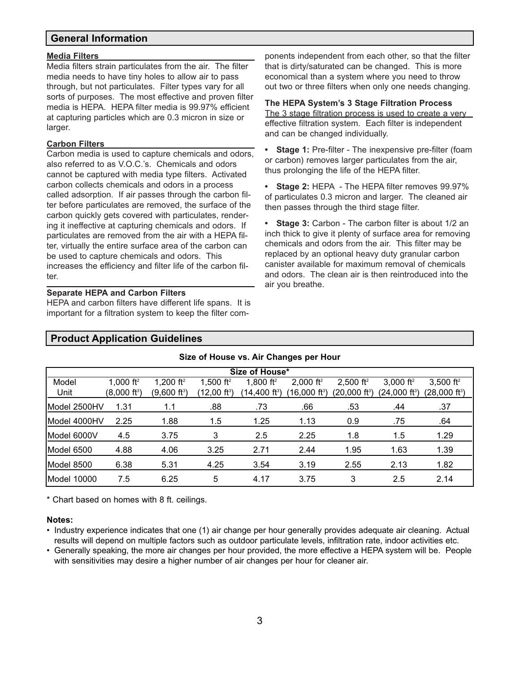## **General Information**

#### **Media Filters**

Media filters strain particulates from the air. The filter media needs to have tiny holes to allow air to pass through, but not particulates. Filter types vary for all sorts of purposes. The most effective and proven filter media is HEPA. HEPA filter media is 99.97% efficient at capturing particles which are 0.3 micron in size or larger.

#### **Carbon Filters**

Carbon media is used to capture chemicals and odors, also referred to as V.O.C.'s. Chemicals and odors cannot be captured with media type filters. Activated carbon collects chemicals and odors in a process called adsorption. If air passes through the carbon filter before particulates are removed, the surface of the carbon quickly gets covered with particulates, rendering it ineffective at capturing chemicals and odors. If particulates are removed from the air with a HEPA filter, virtually the entire surface area of the carbon can be used to capture chemicals and odors. This increases the efficiency and filter life of the carbon filter.

#### **Separate HEPA and Carbon Filters**

HEPA and carbon filters have different life spans. It is important for a filtration system to keep the filter components independent from each other, so that the filter that is dirty/saturated can be changed. This is more economical than a system where you need to throw out two or three filters when only one needs changing.

#### **The HEPA System's 3 Stage Filtration Process** The 3 stage filtration process is used to create a very effective filtration system. Each filter is independent and can be changed individually.

**• Stage 1:** Pre-filter - The inexpensive pre-filter (foam or carbon) removes larger particulates from the air, thus prolonging the life of the HEPA filter.

**• Stage 2:** HEPA - The HEPA filter removes 99.97% of particulates 0.3 micron and larger. The cleaned air then passes through the third stage filter.

**• Stage 3:** Carbon - The carbon filter is about 1/2 an inch thick to give it plenty of surface area for removing chemicals and odors from the air. This filter may be replaced by an optional heavy duty granular carbon canister available for maximum removal of chemicals and odors. The clean air is then reintroduced into the air you breathe.

### **Product Application Guidelines**

#### **Size of House vs. Air Changes per Hour**

| Size of House* |                          |                       |                       |                       |                                       |                           |                           |                             |
|----------------|--------------------------|-----------------------|-----------------------|-----------------------|---------------------------------------|---------------------------|---------------------------|-----------------------------|
| Model          | 1,000 ft <sup>2</sup>    | 1,200 ft <sup>2</sup> | 1,500 ft <sup>2</sup> | 1,800 ft <sup>2</sup> | 2,000 ft <sup>2</sup>                 | $2,500$ ft <sup>2</sup>   | 3,000 $ft^2$              | 3,500 $ft^2$                |
| Unit           | (8,000 ft <sup>3</sup> ) | (9,600 ft3)           | (12,00 ft3)           | $(14,400$ ft $^3)$    | $(16,\!000~\mathrm{ft}^{\mathrm{s}})$ | (20,000 ft <sup>3</sup> ) | (24,000 ft <sup>3</sup> ) | $(28,000$ ft <sup>3</sup> ) |
| Model 2500HV   | 1.31                     | 1.1                   | .88                   | .73                   | .66                                   | .53                       | .44                       | .37                         |
| Model 4000HV   | 2.25                     | 1.88                  | 1.5                   | 1.25                  | 1.13                                  | 0.9                       | .75                       | .64                         |
| Model 6000V    | 4.5                      | 3.75                  | 3                     | 2.5                   | 2.25                                  | 1.8                       | 1.5                       | 1.29                        |
| Model 6500     | 4.88                     | 4.06                  | 3.25                  | 2.71                  | 2.44                                  | 1.95                      | 1.63                      | 1.39                        |
| Model 8500     | 6.38                     | 5.31                  | 4.25                  | 3.54                  | 3.19                                  | 2.55                      | 2.13                      | 1.82                        |
| Model 10000    | 7.5                      | 6.25                  | 5                     | 4.17                  | 3.75                                  | 3                         | 2.5                       | 2.14                        |

\* Chart based on homes with 8 ft. ceilings.

#### **Notes:**

- Industry experience indicates that one (1) air change per hour generally provides adequate air cleaning. Actual results will depend on multiple factors such as outdoor particulate levels, infiltration rate, indoor activities etc.
- Generally speaking, the more air changes per hour provided, the more effective a HEPA system will be. People with sensitivities may desire a higher number of air changes per hour for cleaner air.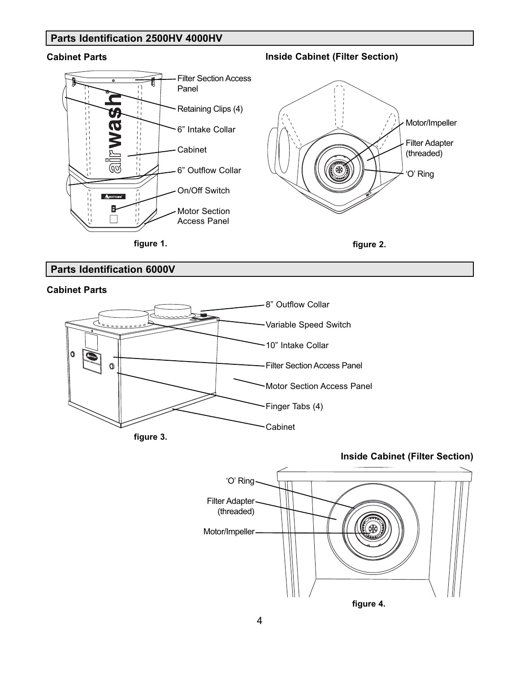# **Parts Identification 2500HV 4000HV**

### **Cabinet Parts Inside Cabinet (Filter Section)**





**figure 2.**

# **Parts Identification 6000V**





**Inside Cabinet (Filter Section)**



#### 4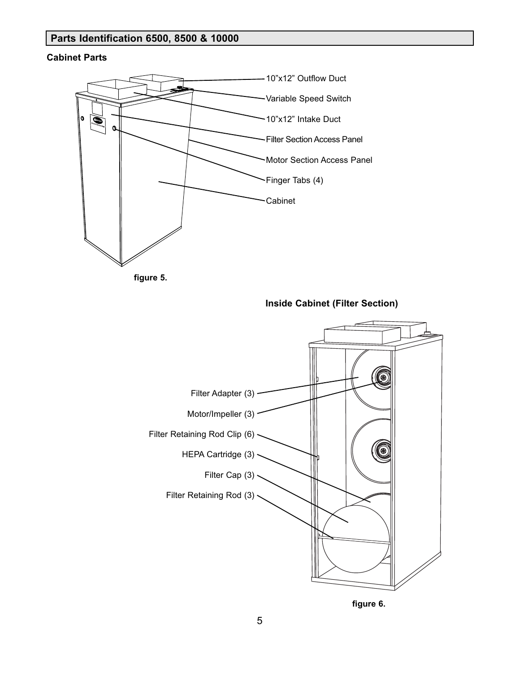# **Parts Identification 6500, 8500 & 10000**

#### **Cabinet Parts**





**Inside Cabinet (Filter Section)**



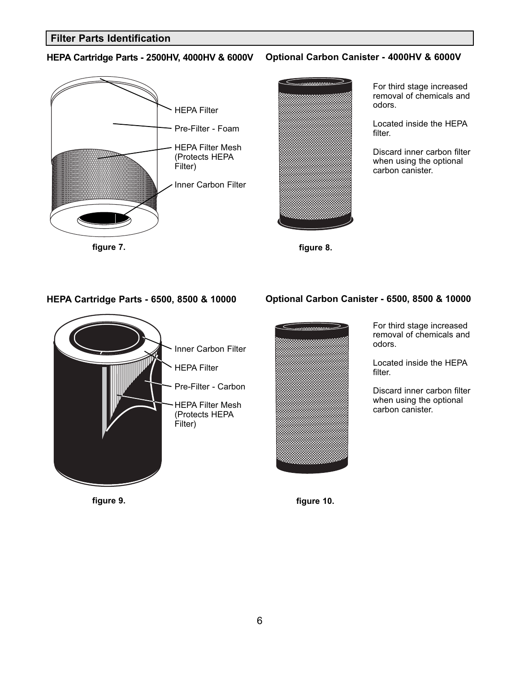### **Filter Parts Identification**

#### **HEPA Cartridge Parts - 2500HV, 4000HV & 6000V Optional Carbon Canister - 4000HV & 6000V**





For third stage increased removal of chemicals and odors.

Located inside the HEPA filter.

Discard inner carbon filter when using the optional carbon canister.



### **HEPA Cartridge Parts - 6500, 8500 & 10000 Optional Carbon Canister - 6500, 8500 & 10000**



For third stage increased removal of chemicals and odors.

Located inside the HEPA filter.

Discard inner carbon filter when using the optional carbon canister.

**figure 9. figure 10.**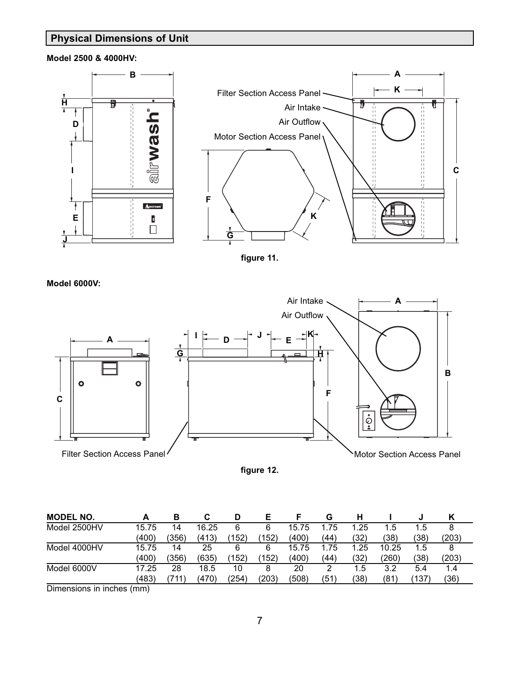# **Physical Dimensions of Unit**

#### **Model 2500 & 4000HV:**





**Model 6000V:**



**figure 12.**

| <b>MODEL NO.</b> |       | в     | С     | D     |       |       | G    |      |       |       |       |
|------------------|-------|-------|-------|-------|-------|-------|------|------|-------|-------|-------|
| Model 2500HV     | 15.75 | 14    | 16.25 | 6     | 6     | 15.75 | .75  | 1.25 | 1.5   | 1.5   | 8     |
|                  | (400) | (356) | (413) | 152)  | (152) | (400) | (44) | (32) | (38)  | (38)  | (203) |
| Model 4000HV     | 15.75 | 14    | 25    | 6     | 6     | 15.75 | .75  | 1.25 | 10.25 | 1.5   |       |
|                  | (400) | (356) | (635) | (152) | 152)  | (400) | (44) | (32) | (260) | (38)  | (203) |
| Model 6000V      | 17.25 | 28    | 18.5  | 10    | 8     | 20    |      | .5   | 3.2   | 5.4   | 1.4   |
|                  | (483) | 711,  | (470) | ′254) | (203) | (508) | (51  | (38) | (81   | (137) | (36)  |

Dimensions in inches (mm)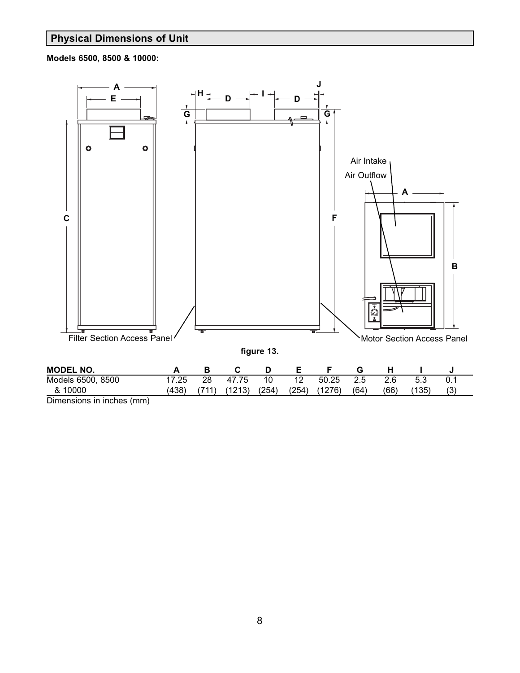# **Physical Dimensions of Unit**

**Models 6500, 8500 & 10000:**



Dimensions in inches (mm)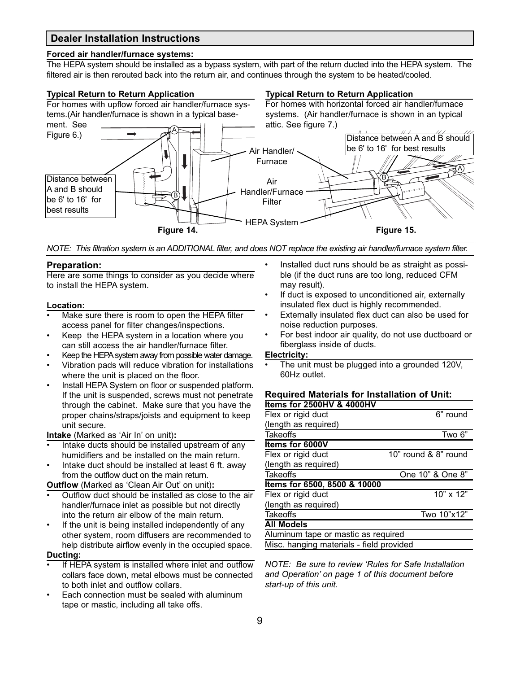### **Dealer Installation Instructions**

#### **Forced air handler/furnace systems:**

The HEPA system should be installed as a bypass system, with part of the return ducted into the HEPA system. The filtered air is then rerouted back into the return air, and continues through the system to be heated/cooled.

#### **Typical Return to Return Application**

#### **Typical Return to Return Application**



*NOTE: This filtration system is an ADDITIONAL filter, and does NOT replace the existing air handler/furnace system filter.*

#### **Preparation:**

Here are some things to consider as you decide where to install the HEPA system.

#### **Location:**

- Make sure there is room to open the HEPA filter access panel for filter changes/inspections.
- Keep the HEPA system in a location where you can still access the air handler/furnace filter.
- Keep the HEPA system away from possible water damage.
- Vibration pads will reduce vibration for installations where the unit is placed on the floor.
- Install HEPA System on floor or suspended platform. If the unit is suspended, screws must not penetrate through the cabinet. Make sure that you have the proper chains/straps/joists and equipment to keep unit secure.

**Intake** (Marked as 'Air In' on unit)**:**

- Intake ducts should be installed upstream of any humidifiers and be installed on the main return.
- Intake duct should be installed at least 6 ft. away from the outflow duct on the main return.

**Outflow** (Marked as 'Clean Air Out' on unit)**:**

- Outflow duct should be installed as close to the air handler/furnace inlet as possible but not directly into the return air elbow of the main return.
- If the unit is being installed independently of any other system, room diffusers are recommended to help distribute airflow evenly in the occupied space.

#### **Ducting:**

- If HEPA system is installed where inlet and outflow collars face down, metal elbows must be connected to both inlet and outflow collars.
- Each connection must be sealed with aluminum tape or mastic, including all take offs.
- Installed duct runs should be as straight as possible (if the duct runs are too long, reduced CFM may result).
- If duct is exposed to unconditioned air, externally insulated flex duct is highly recommended.
- Externally insulated flex duct can also be used for noise reduction purposes.
- For best indoor air quality, do not use ductboard or fiberglass inside of ducts.

#### **Electricity:**

• The unit must be plugged into a grounded 120V, 60Hz outlet.

#### **Required Materials for Installation of Unit: Items for 2500HV & 4000HV**

| LUIIIU IUI LUUUIII U TUUUII              |                        |
|------------------------------------------|------------------------|
| Flex or rigid duct                       | $6"$ round             |
| (length as required)                     |                        |
| <b>Takeoffs</b>                          | Two 6"                 |
| Items for 6000V                          |                        |
| Flex or rigid duct                       | 10" round & 8" round   |
| (length as required)                     |                        |
| <b>Takeoffs</b>                          | One 10" & One 8"       |
| Items for 6500, 8500 & 10000             |                        |
| Flex or rigid duct                       | $\frac{1}{10}$ " x 12" |
| (length as required)                     |                        |
| <b>Takeoffs</b>                          | Two 10"x12"            |
| <b>All Models</b>                        |                        |
| Aluminum tape or mastic as required      |                        |
| Misc. hanging materials - field provided |                        |
|                                          |                        |

*NOTE: Be sure to review 'Rules for Safe Installation and Operation' on page 1 of this document before start-up of this unit.*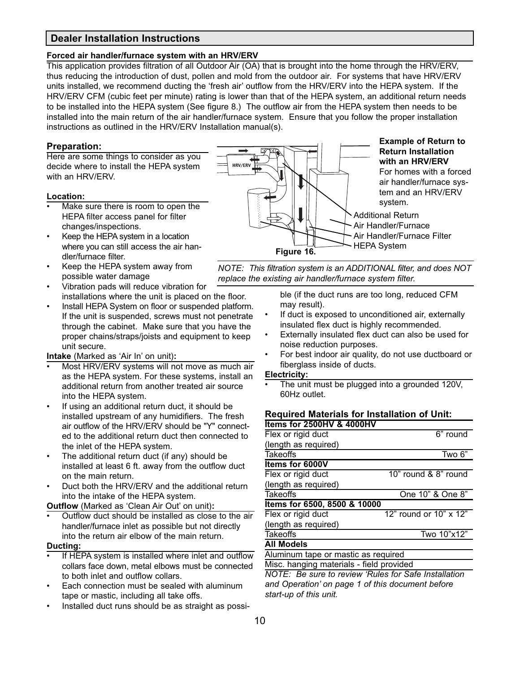## **Dealer Installation Instructions**

#### **Forced air handler/furnace system with an HRV/ERV**

This application provides filtration of all Outdoor Air (OA) that is brought into the home through the HRV/ERV, thus reducing the introduction of dust, pollen and mold from the outdoor air. For systems that have HRV/ERV units installed, we recommend ducting the 'fresh air' outflow from the HRV/ERV into the HEPA system. If the HRV/ERV CFM (cubic feet per minute) rating is lower than that of the HEPA system, an additional return needs to be installed into the HEPA system (See figure 8.) The outflow air from the HEPA system then needs to be installed into the main return of the air handler/furnace system. Ensure that you follow the proper installation instructions as outlined in the HRV/ERV Installation manual(s).

#### **Preparation:**

Here are some things to consider as you decide where to install the HEPA system with an HRV/ERV.

#### **Location:**

- Make sure there is room to open the HEPA filter access panel for filter changes/inspections.
- Keep the HEPA system in a location where you can still access the air handler/furnace filter.
- Keep the HEPA system away from possible water damage
- Vibration pads will reduce vibration for installations where the unit is placed on the floor.
- Install HEPA System on floor or suspended platform. If the unit is suspended, screws must not penetrate through the cabinet. Make sure that you have the proper chains/straps/joists and equipment to keep unit secure.

#### **Intake** (Marked as 'Air In' on unit)**:**

- Most HRV/ERV systems will not move as much air as the HEPA system. For these systems, install an additional return from another treated air source into the HEPA system.
- If using an additional return duct, it should be installed upstream of any humidifiers. The fresh air outflow of the HRV/ERV should be "Y" connected to the additional return duct then connected to the inlet of the HEPA system.
- The additional return duct (if any) should be installed at least 6 ft. away from the outflow duct on the main return.
- Duct both the HRV/ERV and the additional return into the intake of the HEPA system.

**Outflow** (Marked as 'Clean Air Out' on unit)**:**

• Outflow duct should be installed as close to the air handler/furnace inlet as possible but not directly into the return air elbow of the main return.

#### **Ducting:**

- If HEPA system is installed where inlet and outflow collars face down, metal elbows must be connected to both inlet and outflow collars.
- Each connection must be sealed with aluminum tape or mastic, including all take offs.
- Installed duct runs should be as straight as possi-



*NOTE: This filtration system is an ADDITIONAL filter, and does NOT replace the existing air handler/furnace system filter.*

> ble (if the duct runs are too long, reduced CFM may result).

- If duct is exposed to unconditioned air, externally insulated flex duct is highly recommended.
- Externally insulated flex duct can also be used for noise reduction purposes.
- For best indoor air quality, do not use ductboard or fiberglass inside of ducts.

#### **Electricity:**

The unit must be plugged into a grounded 120V, 60Hz outlet.

#### **Required Materials for Installation of Unit: Items for 2500HV & 4000HV**

| Flex or rigid duct                       | 6" round               |
|------------------------------------------|------------------------|
| (length as required)                     |                        |
| <b>Takeoffs</b>                          | Two 6"                 |
| Items for 6000V                          |                        |
| Flex or rigid duct                       | 10" round & 8" round   |
| (length as required)                     |                        |
| <b>Takeoffs</b>                          | One 10" & One 8"       |
| Items for 6500, 8500 & 10000             |                        |
| Flex or rigid duct                       | 12" round or 10" x 12" |
| (length as required)                     |                        |
| <b>Takeoffs</b>                          | Two 10"x12"            |
| <b>All Models</b>                        |                        |
| Aluminum tape or mastic as required      |                        |
| Misc. hanging materials - field provided |                        |

*NOTE: Be sure to review 'Rules for Safe Installation and Operation' on page 1 of this document before start-up of this unit.*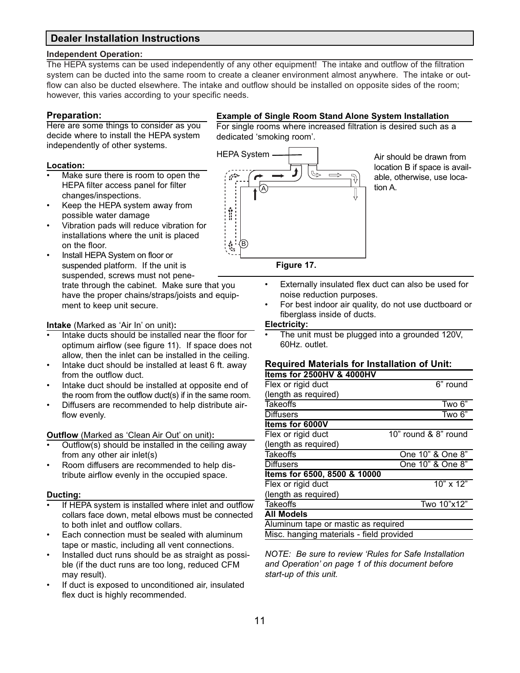# **Dealer Installation Instructions**

#### **Independent Operation:**

The HEPA systems can be used independently of any other equipment! The intake and outflow of the filtration system can be ducted into the same room to create a cleaner environment almost anywhere. The intake or outflow can also be ducted elsewhere. The intake and outflow should be installed on opposite sides of the room; however, this varies according to your specific needs.

#### **Preparation:**

Here are some things to consider as you decide where to install the HEPA system independently of other systems.

#### **Location:**

- Make sure there is room to open the HEPA filter access panel for filter changes/inspections.
- Keep the HEPA system away from possible water damage
- Vibration pads will reduce vibration for installations where the unit is placed on the floor.
- Install HEPA System on floor or suspended platform. If the unit is suspended, screws must not penetrate through the cabinet. Make sure that you have the proper chains/straps/joists and equipment to keep unit secure.

#### **Intake** (Marked as 'Air In' on unit)**:**

- Intake ducts should be installed near the floor for optimum airflow (see figure 11). If space does not allow, then the inlet can be installed in the ceiling.
- Intake duct should be installed at least 6 ft. away from the outflow duct.
- Intake duct should be installed at opposite end of the room from the outflow duct(s) if in the same room.
- Diffusers are recommended to help distribute airflow evenly.

#### **Outflow** (Marked as 'Clean Air Out' on unit)**:**

- Outflow(s) should be installed in the ceiling away from any other air inlet(s)
- Room diffusers are recommended to help distribute airflow evenly in the occupied space.

#### **Ducting:**

- If HEPA system is installed where inlet and outflow collars face down, metal elbows must be connected to both inlet and outflow collars.
- Each connection must be sealed with aluminum tape or mastic, including all vent connections.
- Installed duct runs should be as straight as possible (if the duct runs are too long, reduced CFM may result).
- If duct is exposed to unconditioned air, insulated flex duct is highly recommended.

#### **Example of Single Room Stand Alone System Installation**

For single rooms where increased filtration is desired such as a dedicated 'smoking room'.



Air should be drawn from location B if space is available, otherwise, use location A.

#### **Figure 17.**

- Externally insulated flex duct can also be used for noise reduction purposes.
- For best indoor air quality, do not use ductboard or fiberglass inside of ducts.

#### **Electricity:**

The unit must be plugged into a grounded 120V, 60Hz. outlet.

# **Required Materials for Installation of Unit:**

| <b>Items for 2500HV &amp; 4000HV</b>     |                      |
|------------------------------------------|----------------------|
| Flex or rigid duct                       | 6" round             |
| (length as required)                     |                      |
| <b>Takeoffs</b>                          | Two $6"$             |
| <b>Diffusers</b>                         | Two 6"               |
| <b>Items for 6000V</b>                   |                      |
| Flex or rigid duct                       | 10" round & 8" round |
| (length as required)                     |                      |
| <b>Takeoffs</b>                          | One 10" & One 8"     |
| <b>Diffusers</b>                         | One 10" & One 8"     |
| Items for 6500, 8500 & 10000             |                      |
| Flex or rigid duct                       | $10" \times 12"$     |
| (length as required)                     |                      |
| <b>Takeoffs</b>                          | Two 10"x12"          |
| <b>All Models</b>                        |                      |
| Aluminum tape or mastic as required      |                      |
| Misc. hanging materials - field provided |                      |
|                                          |                      |

*NOTE: Be sure to review 'Rules for Safe Installation and Operation' on page 1 of this document before start-up of this unit.*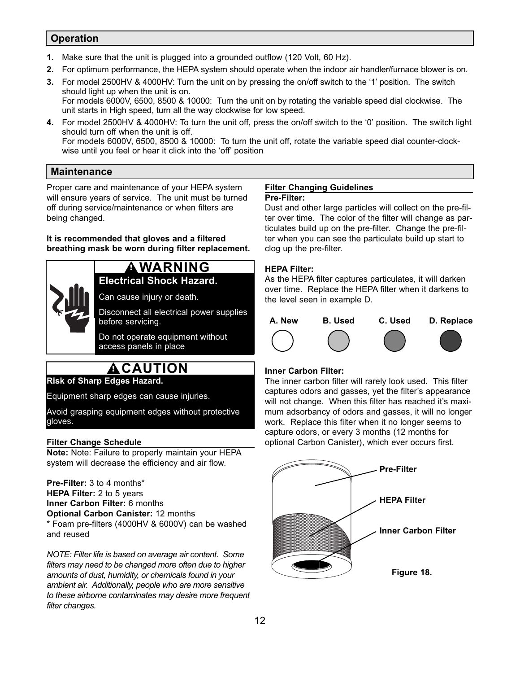# **Operation**

- **1.** Make sure that the unit is plugged into a grounded outflow (120 Volt, 60 Hz).
- **2.** For optimum performance, the HEPA system should operate when the indoor air handler/furnace blower is on.
- **3.** For model 2500HV & 4000HV: Turn the unit on by pressing the on/off switch to the '1' position. The switch should light up when the unit is on.

For models 6000V, 6500, 8500 & 10000: Turn the unit on by rotating the variable speed dial clockwise. The unit starts in High speed, turn all the way clockwise for low speed.

**4.** For model 2500HV & 4000HV: To turn the unit off, press the on/off switch to the '0' position. The switch light should turn off when the unit is off. For models 6000V, 6500, 8500 & 10000: To turn the unit off, rotate the variable speed dial counter-clockwise until you feel or hear it click into the 'off' position

# **Maintenance**

Proper care and maintenance of your HEPA system will ensure years of service. The unit must be turned off during service/maintenance or when filters are being changed.

**It is recommended that gloves and a filtered breathing mask be worn during filter replacement.**

# **Electrical Shock Hazard. ! WARNING**

Can cause injury or death.

Disconnect all electrical power supplies before servicing.

Do not operate equipment without access panels in place

# **! CAUTION**

**Risk of Sharp Edges Hazard.**

Equipment sharp edges can cause injuries.

Avoid grasping equipment edges without protective gloves.

#### **Filter Change Schedule**

**Note:** Note: Failure to properly maintain your HEPA system will decrease the efficiency and air flow.

**Pre-Filter:** 3 to 4 months\* **HEPA Filter:** 2 to 5 years **Inner Carbon Filter:** 6 months **Optional Carbon Canister:** 12 months \* Foam pre-filters (4000HV & 6000V) can be washed and reused

*NOTE: Filter life is based on average air content. Some filters may need to be changed more often due to higher amounts of dust, humidity, or chemicals found in your ambient air. Additionally, people who are more sensitive to these airborne contaminates may desire more frequent filter changes.*

#### **Filter Changing Guidelines Pre-Filter:**

Dust and other large particles will collect on the pre-filter over time. The color of the filter will change as particulates build up on the pre-filter. Change the pre-filter when you can see the particulate build up start to clog up the pre-filter.

# **HEPA Filter:**

As the HEPA filter captures particulates, it will darken over time. Replace the HEPA filter when it darkens to the level seen in example D.



# **Inner Carbon Filter:**

The inner carbon filter will rarely look used. This filter captures odors and gasses, yet the filter's appearance will not change. When this filter has reached it's maximum adsorbancy of odors and gasses, it will no longer work. Replace this filter when it no longer seems to capture odors, or every 3 months (12 months for optional Carbon Canister), which ever occurs first.

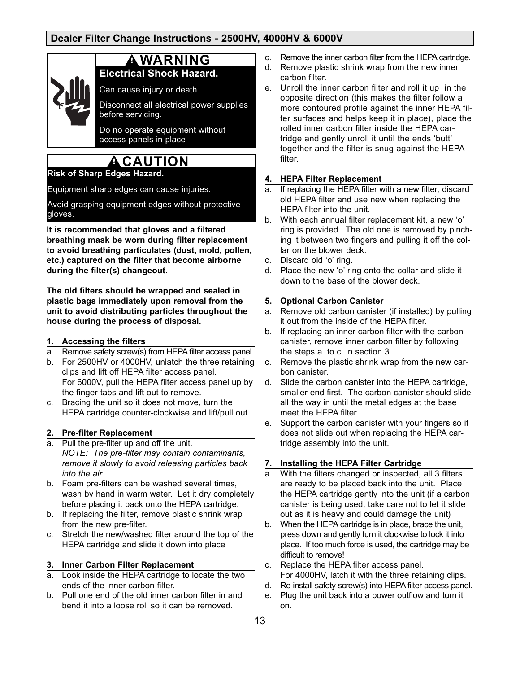# **Dealer Filter Change Instructions - 2500HV, 4000HV & 6000V**

# **! WARNING**

**Electrical Shock Hazard.**

Can cause injury or death.

Disconnect all electrical power supplies before servicing.

Do no operate equipment without access panels in place

# **! CAUTION**

# **Risk of Sharp Edges Hazard.**

Equipment sharp edges can cause injuries.

Avoid grasping equipment edges without protective gloves.

**It is recommended that gloves and a filtered breathing mask be worn during filter replacement to avoid breathing particulates (dust, mold, pollen, etc.) captured on the filter that become airborne during the filter(s) changeout.**

**The old filters should be wrapped and sealed in plastic bags immediately upon removal from the unit to avoid distributing particles throughout the house during the process of disposal.**

#### **1. Accessing the filters**

- a. Remove safety screw(s) from HEPA filter access panel.
- b. For 2500HV or 4000HV, unlatch the three retaining clips and lift off HEPA filter access panel. For 6000V, pull the HEPA filter access panel up by the finger tabs and lift out to remove.
- c. Bracing the unit so it does not move, turn the HEPA cartridge counter-clockwise and lift/pull out.

#### **2. Pre-filter Replacement**

- a. Pull the pre-filter up and off the unit. *NOTE: The pre-filter may contain contaminants, remove it slowly to avoid releasing particles back into the air.*
- b. Foam pre-filters can be washed several times, wash by hand in warm water. Let it dry completely before placing it back onto the HEPA cartridge.
- b. If replacing the filter, remove plastic shrink wrap from the new pre-filter.
- c. Stretch the new/washed filter around the top of the HEPA cartridge and slide it down into place

#### **3. Inner Carbon Filter Replacement**

- a. Look inside the HEPA cartridge to locate the two ends of the inner carbon filter.
- b. Pull one end of the old inner carbon filter in and bend it into a loose roll so it can be removed.
- c. Remove the inner carbon filter from the HEPA cartridge.
- d. Remove plastic shrink wrap from the new inner carbon filter.
- e. Unroll the inner carbon filter and roll it up in the opposite direction (this makes the filter follow a more contoured profile against the inner HEPA filter surfaces and helps keep it in place), place the rolled inner carbon filter inside the HEPA cartridge and gently unroll it until the ends 'butt' together and the filter is snug against the HEPA filter.

#### **4. HEPA Filter Replacement**

- a. If replacing the HEPA filter with a new filter, discard old HEPA filter and use new when replacing the HEPA filter into the unit.
- b. With each annual filter replacement kit, a new 'o' ring is provided. The old one is removed by pinching it between two fingers and pulling it off the collar on the blower deck.
- c. Discard old 'o' ring.
- d. Place the new 'o' ring onto the collar and slide it down to the base of the blower deck.

#### **5. Optional Carbon Canister**

- a. Remove old carbon canister (if installed) by pulling it out from the inside of the HEPA filter.
- b. If replacing an inner carbon filter with the carbon canister, remove inner carbon filter by following the steps a. to c. in section 3.
- c. Remove the plastic shrink wrap from the new carbon canister.
- d. Slide the carbon canister into the HEPA cartridge, smaller end first. The carbon canister should slide all the way in until the metal edges at the base meet the HEPA filter.
- e. Support the carbon canister with your fingers so it does not slide out when replacing the HEPA cartridge assembly into the unit.

#### **7. Installing the HEPA Filter Cartridge**

- a. With the filters changed or inspected, all 3 filters are ready to be placed back into the unit. Place the HEPA cartridge gently into the unit (if a carbon canister is being used, take care not to let it slide out as it is heavy and could damage the unit)
- b. When the HEPA cartridge is in place, brace the unit, press down and gently turn it clockwise to lock it into place. If too much force is used, the cartridge may be difficult to remove!
- c. Replace the HEPA filter access panel. For 4000HV, latch it with the three retaining clips.
- d. Re-install safety screw(s) into HEPA filter access panel.
- e. Plug the unit back into a power outflow and turn it on.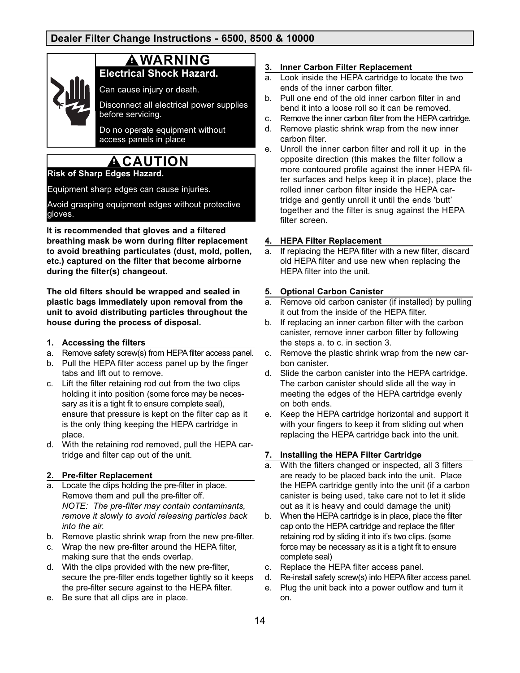# **! WARNING**

**Electrical Shock Hazard.**

Can cause injury or death.

Disconnect all electrical power supplies before servicing.

Do no operate equipment without access panels in place

# **! CAUTION**

# **Risk of Sharp Edges Hazard.**

Equipment sharp edges can cause injuries.

Avoid grasping equipment edges without protective gloves.

**It is recommended that gloves and a filtered breathing mask be worn during filter replacement to avoid breathing particulates (dust, mold, pollen, etc.) captured on the filter that become airborne during the filter(s) changeout.**

**The old filters should be wrapped and sealed in plastic bags immediately upon removal from the unit to avoid distributing particles throughout the house during the process of disposal.**

#### **1. Accessing the filters**

- a. Remove safety screw(s) from HEPA filter access panel.
- b. Pull the HEPA filter access panel up by the finger tabs and lift out to remove.
- c. Lift the filter retaining rod out from the two clips holding it into position (some force may be necessary as it is a tight fit to ensure complete seal), ensure that pressure is kept on the filter cap as it is the only thing keeping the HEPA cartridge in place.
- d. With the retaining rod removed, pull the HEPA cartridge and filter cap out of the unit.

#### **2. Pre-filter Replacement**

- a. Locate the clips holding the pre-filter in place. Remove them and pull the pre-filter off. *NOTE: The pre-filter may contain contaminants, remove it slowly to avoid releasing particles back into the air.*
- b. Remove plastic shrink wrap from the new pre-filter.
- c. Wrap the new pre-filter around the HEPA filter, making sure that the ends overlap.
- d. With the clips provided with the new pre-filter, secure the pre-filter ends together tightly so it keeps the pre-filter secure against to the HEPA filter.
- e. Be sure that all clips are in place.

#### **3. Inner Carbon Filter Replacement**

- a. Look inside the HEPA cartridge to locate the two ends of the inner carbon filter.
- b. Pull one end of the old inner carbon filter in and bend it into a loose roll so it can be removed.
- c. Remove the inner carbon filter from the HEPA cartridge.
- d. Remove plastic shrink wrap from the new inner carbon filter.
- e. Unroll the inner carbon filter and roll it up in the opposite direction (this makes the filter follow a more contoured profile against the inner HEPA filter surfaces and helps keep it in place), place the rolled inner carbon filter inside the HEPA cartridge and gently unroll it until the ends 'butt' together and the filter is snug against the HEPA filter screen.

#### **4. HEPA Filter Replacement**

a. If replacing the HEPA filter with a new filter, discard old HEPA filter and use new when replacing the HEPA filter into the unit.

#### **5. Optional Carbon Canister**

- a. Remove old carbon canister (if installed) by pulling it out from the inside of the HEPA filter.
- b. If replacing an inner carbon filter with the carbon canister, remove inner carbon filter by following the steps a. to c. in section 3.
- c. Remove the plastic shrink wrap from the new carbon canister.
- d. Slide the carbon canister into the HEPA cartridge. The carbon canister should slide all the way in meeting the edges of the HEPA cartridge evenly on both ends.
- e. Keep the HEPA cartridge horizontal and support it with your fingers to keep it from sliding out when replacing the HEPA cartridge back into the unit.

#### **7. Installing the HEPA Filter Cartridge**

- a. With the filters changed or inspected, all 3 filters are ready to be placed back into the unit. Place the HEPA cartridge gently into the unit (if a carbon canister is being used, take care not to let it slide out as it is heavy and could damage the unit)
- b. When the HEPA cartridge is in place, place the filter cap onto the HEPA cartridge and replace the filter retaining rod by sliding it into it's two clips. (some force may be necessary as it is a tight fit to ensure complete seal)
- c. Replace the HEPA filter access panel.
- d. Re-install safety screw(s) into HEPA filter access panel.
- e. Plug the unit back into a power outflow and turn it on.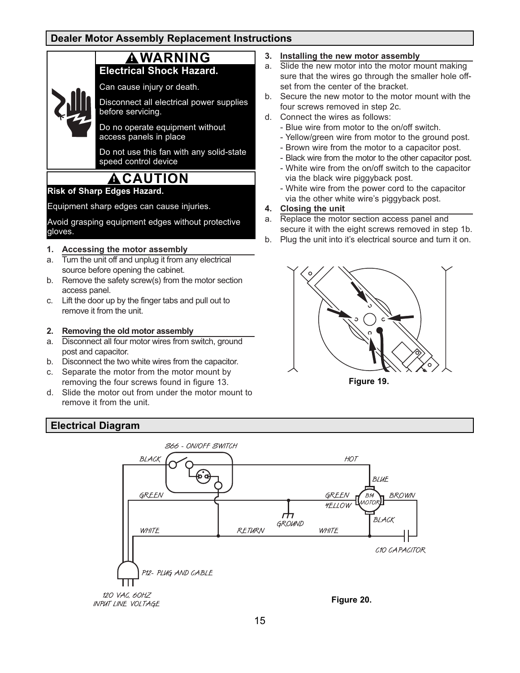# **Dealer Motor Assembly Replacement Instructions**

# **! WARNING**

# **Electrical Shock Hazard.**

Can cause injury or death.

Disconnect all electrical power supplies before servicing.

Do no operate equipment without access panels in place

Do not use this fan with any solid-state speed control device

# **! CAUTION**

**Risk of Sharp Edges Hazard.**

Equipment sharp edges can cause injuries.

Avoid grasping equipment edges without protective gloves.

#### **1. Accessing the motor assembly**

- a. Turn the unit off and unplug it from any electrical source before opening the cabinet.
- b. Remove the safety screw(s) from the motor section access panel.
- c. Lift the door up by the finger tabs and pull out to remove it from the unit.

#### **2. Removing the old motor assembly**

- a. Disconnect all four motor wires from switch, ground post and capacitor.
- b. Disconnect the two white wires from the capacitor.
- c. Separate the motor from the motor mount by removing the four screws found in figure 13.
- d. Slide the motor out from under the motor mount to remove it from the unit.

# **Electrical Diagram**



d. Connect the wires as follows:

**3. Installing the new motor assembly**

set from the center of the bracket.

- Blue wire from motor to the on/off switch.

a. Slide the new motor into the motor mount making sure that the wires go through the smaller hole off-

- Yellow/green wire from motor to the ground post.
- Brown wire from the motor to a capacitor post.
- Black wire from the motor to the other capacitor post. - White wire from the on/off switch to the capacitor
- via the black wire piggyback post. - White wire from the power cord to the capacitor
- via the other white wire's piggyback post.
- **4. Closing the unit**
- a. Replace the motor section access panel and secure it with the eight screws removed in step 1b.
- b. Plug the unit into it's electrical source and turn it on.



**Figure 19.**